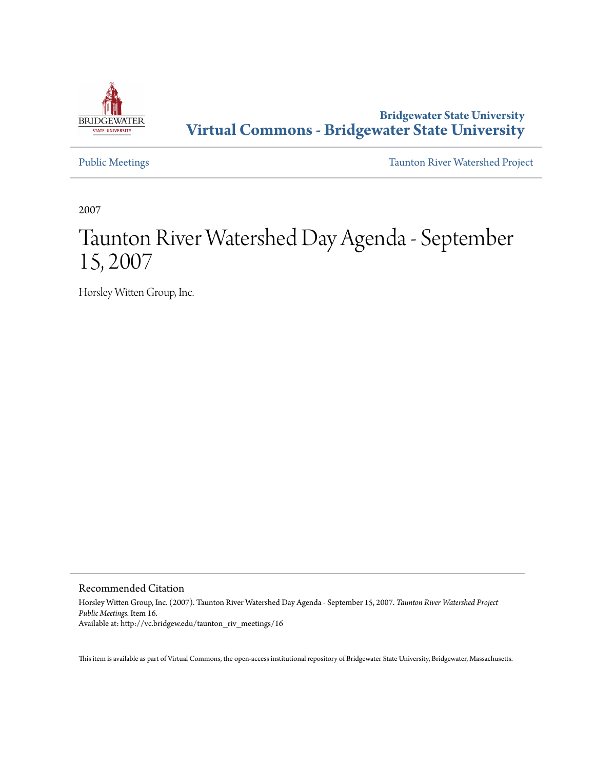

#### **Bridgewater State University [Virtual Commons - Bridgewater State University](http://vc.bridgew.edu)**

[Public Meetings](http://vc.bridgew.edu/taunton_riv_meetings) [Taunton River Watershed Project](http://vc.bridgew.edu/taunton_riv)

2007

## Taunton River Watershed Day Agenda - September 15, 2007

Horsley Witten Group, Inc.

Recommended Citation

Horsley Witten Group, Inc. (2007). Taunton River Watershed Day Agenda - September 15, 2007. *Taunton River Watershed Project Public Meetings.* Item 16. Available at: http://vc.bridgew.edu/taunton\_riv\_meetings/16

This item is available as part of Virtual Commons, the open-access institutional repository of Bridgewater State University, Bridgewater, Massachusetts.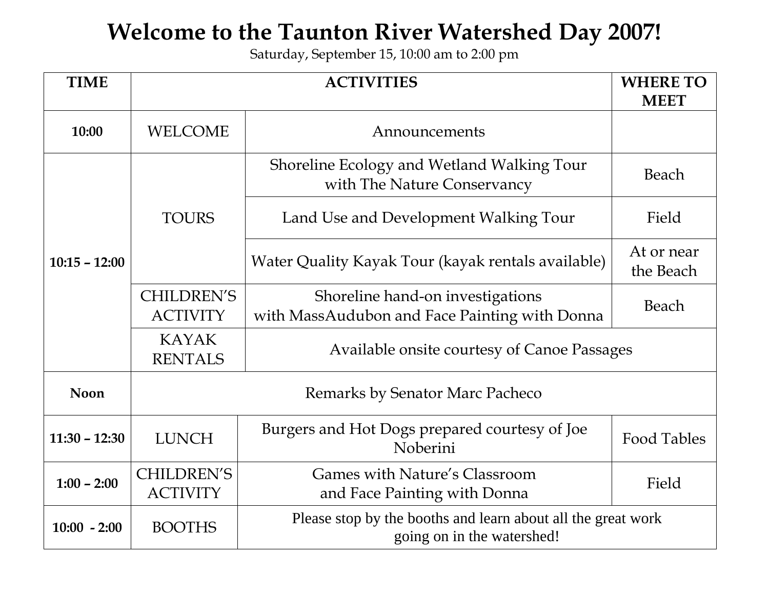# **Welcome to the Taunton River Watershed Day 2007!**

Saturday, September 15, 10:00 am to 2:00 pm

| <b>TIME</b>     | <b>ACTIVITIES</b>                    |                                                                                            | <b>WHERE TO</b>         |
|-----------------|--------------------------------------|--------------------------------------------------------------------------------------------|-------------------------|
|                 |                                      |                                                                                            | <b>MEET</b>             |
| 10:00           | <b>WELCOME</b>                       | Announcements                                                                              |                         |
|                 |                                      | Shoreline Ecology and Wetland Walking Tour<br>with The Nature Conservancy                  | Beach                   |
|                 | <b>TOURS</b>                         | Land Use and Development Walking Tour                                                      | Field                   |
| $10:15 - 12:00$ |                                      | Water Quality Kayak Tour (kayak rentals available)                                         | At or near<br>the Beach |
|                 | <b>CHILDREN'S</b>                    | Shoreline hand-on investigations                                                           | Beach                   |
|                 | <b>ACTIVITY</b>                      | with MassAudubon and Face Painting with Donna                                              |                         |
|                 | <b>KAYAK</b><br><b>RENTALS</b>       | Available onsite courtesy of Canoe Passages                                                |                         |
| <b>Noon</b>     | Remarks by Senator Marc Pacheco      |                                                                                            |                         |
| $11:30 - 12:30$ | <b>LUNCH</b>                         | Burgers and Hot Dogs prepared courtesy of Joe<br>Noberini                                  | <b>Food Tables</b>      |
| $1:00 - 2:00$   | <b>CHILDREN'S</b><br><b>ACTIVITY</b> | Games with Nature's Classroom<br>and Face Painting with Donna                              | Field                   |
| $10:00 - 2:00$  | <b>BOOTHS</b>                        | Please stop by the booths and learn about all the great work<br>going on in the watershed! |                         |